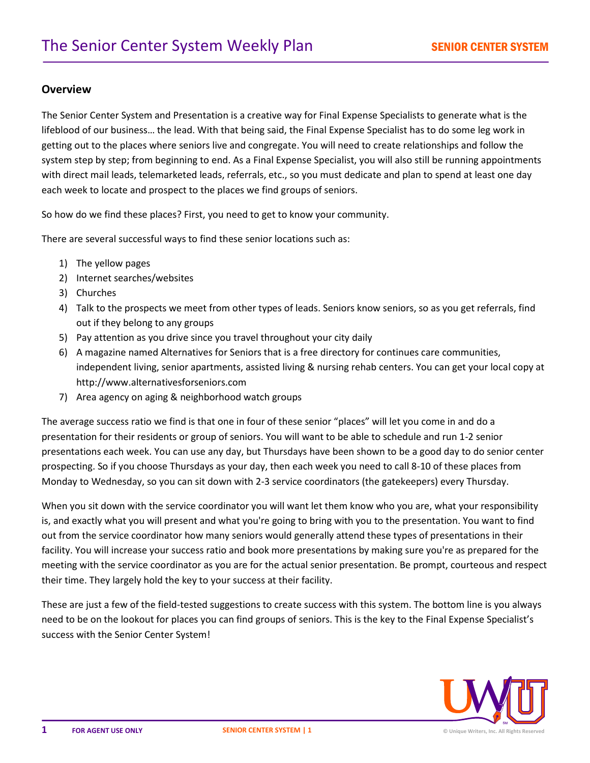## **Overview**

The Senior Center System and Presentation is a creative way for Final Expense Specialists to generate what is the lifeblood of our business… the lead. With that being said, the Final Expense Specialist has to do some leg work in getting out to the places where seniors live and congregate. You will need to create relationships and follow the system step by step; from beginning to end. As a Final Expense Specialist, you will also still be running appointments with direct mail leads, telemarketed leads, referrals, etc., so you must dedicate and plan to spend at least one day each week to locate and prospect to the places we find groups of seniors.

So how do we find these places? First, you need to get to know your community.

There are several successful ways to find these senior locations such as:

- 1) The yellow pages
- 2) Internet searches/websites
- 3) Churches
- 4) Talk to the prospects we meet from other types of leads. Seniors know seniors, so as you get referrals, find out if they belong to any groups
- 5) Pay attention as you drive since you travel throughout your city daily
- 6) A magazine named Alternatives for Seniors that is a free directory for continues care communities, independent living, senior apartments, assisted living & nursing rehab centers. You can get your local copy at http://www.alternativesforseniors.com
- 7) Area agency on aging & neighborhood watch groups

The average success ratio we find is that one in four of these senior "places" will let you come in and do a presentation for their residents or group of seniors. You will want to be able to schedule and run 1-2 senior presentations each week. You can use any day, but Thursdays have been shown to be a good day to do senior center prospecting. So if you choose Thursdays as your day, then each week you need to call 8-10 of these places from Monday to Wednesday, so you can sit down with 2-3 service coordinators (the gatekeepers) every Thursday.

When you sit down with the service coordinator you will want let them know who you are, what your responsibility is, and exactly what you will present and what you're going to bring with you to the presentation. You want to find out from the service coordinator how many seniors would generally attend these types of presentations in their facility. You will increase your success ratio and book more presentations by making sure you're as prepared for the meeting with the service coordinator as you are for the actual senior presentation. Be prompt, courteous and respect their time. They largely hold the key to your success at their facility.

These are just a few of the field-tested suggestions to create success with this system. The bottom line is you always need to be on the lookout for places you can find groups of seniors. This is the key to the Final Expense Specialist's success with the Senior Center System!